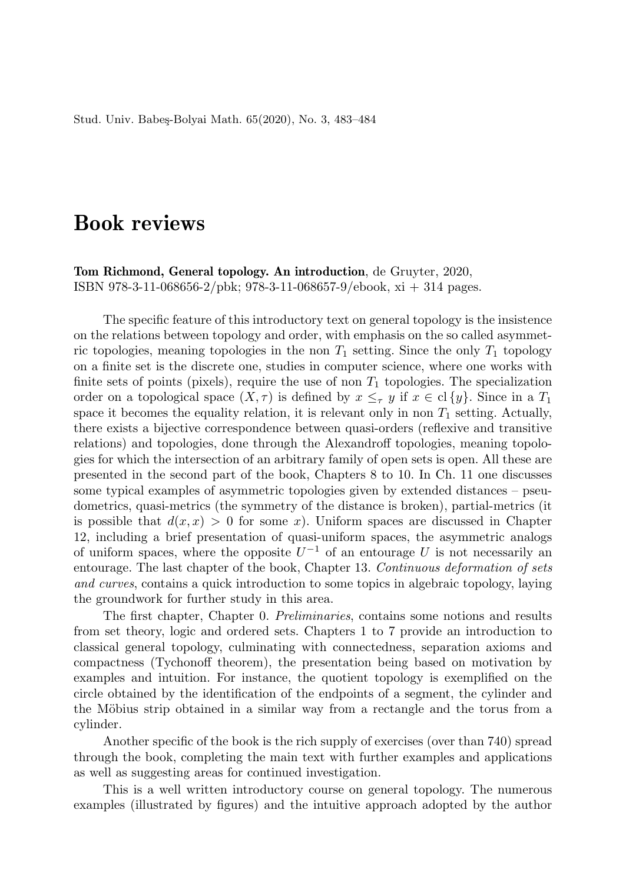## Book reviews

Tom Richmond, General topology. An introduction, de Gruyter, 2020, ISBN 978-3-11-068656-2/pbk; 978-3-11-068657-9/ebook, xi + 314 pages.

The specific feature of this introductory text on general topology is the insistence on the relations between topology and order, with emphasis on the so called asymmetric topologies, meaning topologies in the non  $T_1$  setting. Since the only  $T_1$  topology on a finite set is the discrete one, studies in computer science, where one works with finite sets of points (pixels), require the use of non  $T_1$  topologies. The specialization order on a topological space  $(X, \tau)$  is defined by  $x \leq_{\tau} y$  if  $x \in cl\{y\}$ . Since in a  $T_1$ space it becomes the equality relation, it is relevant only in non  $T_1$  setting. Actually, there exists a bijective correspondence between quasi-orders (reflexive and transitive relations) and topologies, done through the Alexandroff topologies, meaning topologies for which the intersection of an arbitrary family of open sets is open. All these are presented in the second part of the book, Chapters 8 to 10. In Ch. 11 one discusses some typical examples of asymmetric topologies given by extended distances – pseudometrics, quasi-metrics (the symmetry of the distance is broken), partial-metrics (it is possible that  $d(x, x) > 0$  for some x). Uniform spaces are discussed in Chapter 12, including a brief presentation of quasi-uniform spaces, the asymmetric analogs of uniform spaces, where the opposite  $U^{-1}$  of an entourage U is not necessarily an entourage. The last chapter of the book, Chapter 13. Continuous deformation of sets and curves, contains a quick introduction to some topics in algebraic topology, laying the groundwork for further study in this area.

The first chapter, Chapter 0. Preliminaries, contains some notions and results from set theory, logic and ordered sets. Chapters 1 to 7 provide an introduction to classical general topology, culminating with connectedness, separation axioms and compactness (Tychonoff theorem), the presentation being based on motivation by examples and intuition. For instance, the quotient topology is exemplified on the circle obtained by the identification of the endpoints of a segment, the cylinder and the Möbius strip obtained in a similar way from a rectangle and the torus from a cylinder.

Another specific of the book is the rich supply of exercises (over than 740) spread through the book, completing the main text with further examples and applications as well as suggesting areas for continued investigation.

This is a well written introductory course on general topology. The numerous examples (illustrated by figures) and the intuitive approach adopted by the author